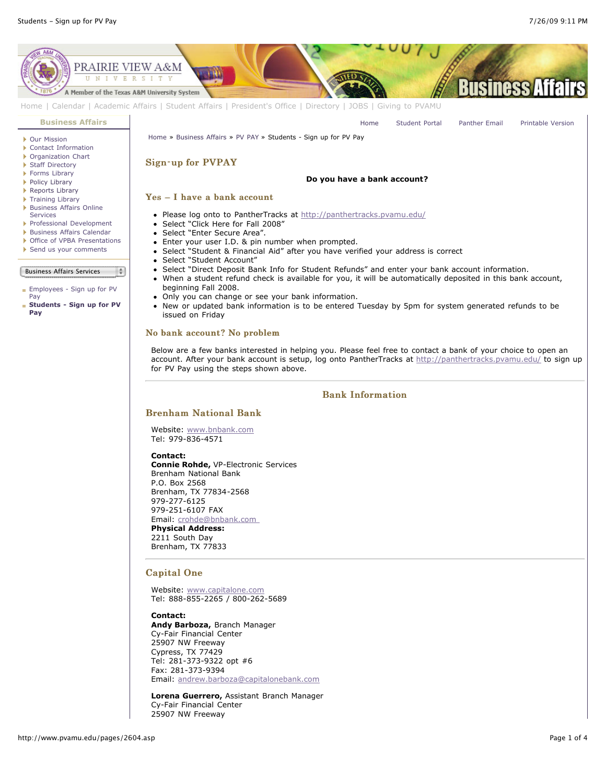

#### **Contact:**

**Andy Barboza,** Branch Manager Cy-Fair Financial Center 25907 NW Freeway Cypress, TX 77429 Tel: 281-373-9322 opt #6 Fax: 281-373-9394 Email: [andrew.barboza@capitalonebank.com](mailto:andrew.barboza@capitalonebank.com)

**Lorena Guerrero,** Assistant Branch Manager Cy-Fair Financial Center 25907 NW Freeway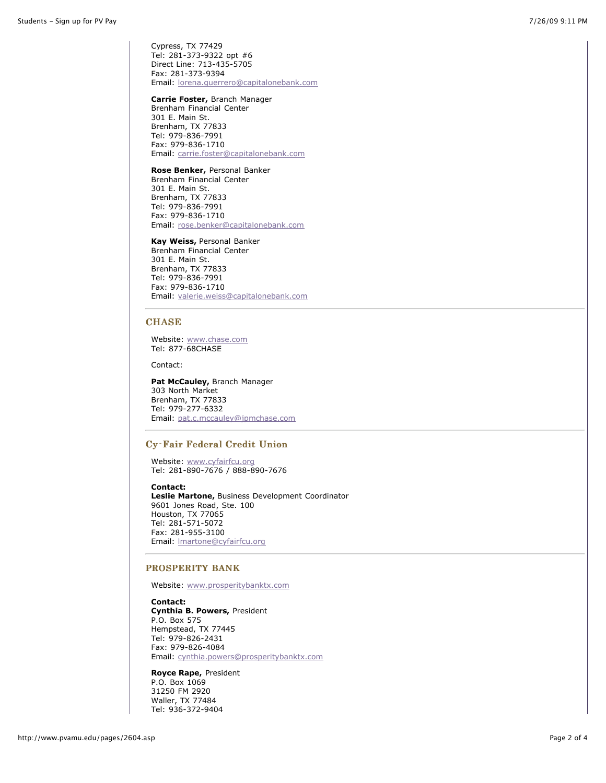Cypress, TX 77429 Tel: 281-373-9322 opt #6 Direct Line: 713-435-5705 Fax: 281-373-9394 Email: [lorena.guerrero@capitalonebank.com](mailto:lorena.guerrero@capitalonebank.com)

#### **Carrie Foster,** Branch Manager

Brenham Financial Center 301 E. Main St. Brenham, TX 77833 Tel: 979-836-7991 Fax: 979-836-1710 Email: [carrie.foster@capitalonebank.com](mailto:carrie.foster@capitalonebank.com)

### **Rose Benker,** Personal Banker

Brenham Financial Center 301 E. Main St. Brenham, TX 77833 Tel: 979-836-7991 Fax: 979-836-1710 Email: [rose.benker@capitalonebank.com](mailto:rose.benker@capitalonebank.com)

### **Kay Weiss,** Personal Banker

Brenham Financial Center 301 E. Main St. Brenham, TX 77833 Tel: 979-836-7991 Fax: 979-836-1710 Email: [valerie.weiss@capitalonebank.com](mailto:valerie.weiss@capitalonebank.com)

## **CHASE**

Website: [www.chase.com](http://www.chase.com/) Tel: 877-68CHASE

Contact:

**Pat McCauley,** Branch Manager 303 North Market Brenham, TX 77833 Tel: 979-277-6332 Email: [pat.c.mccauley@jpmchase.com](mailto:pat.c.mccauley@jpmchase.com)

## Cy-Fair Federal Credit Union

Website: [www.cyfairfcu.org](http://www.cyfairfcu.org/) Tel: 281-890-7676 / 888-890-7676

#### **Contact:**

**Leslie Martone,** Business Development Coordinator 9601 Jones Road, Ste. 100 Houston, TX 77065 Tel: 281-571-5072 Fax: 281-955-3100 Email: [lmartone@cyfairfcu.org](mailto:lmartone@cyfairfcu.org)

## PROSPERITY BANK

Website: [www.prosperitybanktx.com](http://www.prosperitybanktx.com/)

**Contact: Cynthia B. Powers,** President P.O. Box 575 Hempstead, TX 77445 Tel: 979-826-2431 Fax: 979-826-4084 Email: [cynthia.powers@prosperitybanktx.com](mailto:cynthia.powers@prosperitybanktx.com)

**Royce Rape,** President P.O. Box 1069 31250 FM 2920 Waller, TX 77484 Tel: 936-372-9404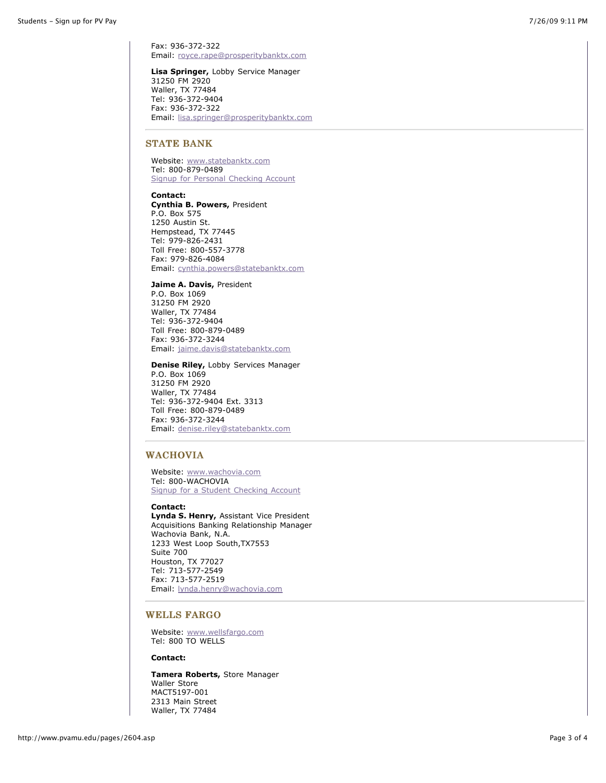Fax: 936-372-322 Email: [royce.rape@prosperitybanktx.com](mailto:royce.rape@prosperitybanktx.com)

**Lisa Springer,** Lobby Service Manager 31250 FM 2920 Waller, TX 77484 Tel: 936-372-9404 Fax: 936-372-322 Email: [lisa.springer@prosperitybanktx.com](mailto:lisa.springer@prosperitybanktx.com)

### STATE BANK

Website: [www.statebanktx.com](http://www.statebanktx.com/) Tel: 800-879-0489 [Signup for Personal Checking Account](http://www.statebanktx.com/checking_personal.php?sess_id=0efc41ca7665e07f78e058f986ea666e)

**Contact: Cynthia B. Powers,** President P.O. Box 575 1250 Austin St. Hempstead, TX 77445 Tel: 979-826-2431 Toll Free: 800-557-3778 Fax: 979-826-4084 Email: [cynthia.powers@statebanktx.com](mailto:cynthia.powers@statebanktx.com)

**Jaime A. Davis,** President P.O. Box 1069 31250 FM 2920 Waller, TX 77484 Tel: 936-372-9404 Toll Free: 800-879-0489 Fax: 936-372-3244 Email: [jaime.davis@statebanktx.com](mailto:jaime.davis@statebanktx.com)

# **Denise Riley,** Lobby Services Manager P.O. Box 1069

31250 FM 2920 Waller, TX 77484 Tel: 936-372-9404 Ext. 3313 Toll Free: 800-879-0489 Fax: 936-372-3244 Email: [denise.riley@statebanktx.com](mailto:denise.riley@statebanktx.com)

## WACHOVIA

Website: [www.wachovia.com](http://www.wachovia.com/) Tel: 800-WACHOVIA [Signup for a Student Checking Account](http://www.wachovia.com/misc/0,,811,00.html?DCMP=ILL-2591&ATTINFO=7759-personal2)

#### **Contact:**

**Lynda S. Henry,** Assistant Vice President Acquisitions Banking Relationship Manager Wachovia Bank, N.A. 1233 West Loop South,TX7553 Suite 700 Houston, TX 77027 Tel: 713-577-2549 Fax: 713-577-2519 Email: [lynda.henry@wachovia.com](mailto:lynda.henry@wachovia.com)

# WELLS FARGO

Website: [www.wellsfargo.com](http://www.wellsfargo.com/) Tel: 800 TO WELLS

## **Contact:**

**Tamera Roberts,** Store Manager Waller Store MACT5197-001 2313 Main Street Waller, TX 77484